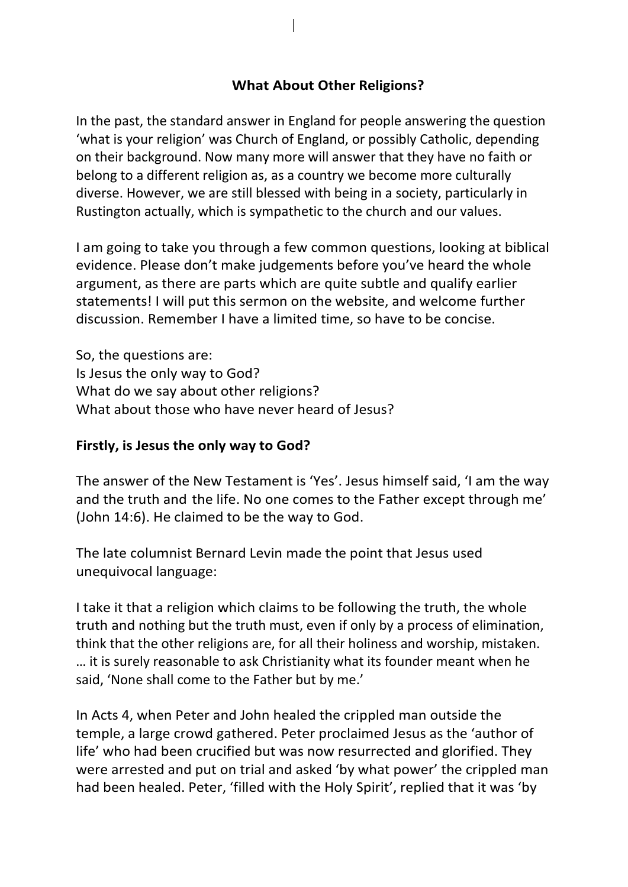## **What About Other Religions?**

In the past, the standard answer in England for people answering the question 'what is your religion' was Church of England, or possibly Catholic, depending on their background. Now many more will answer that they have no faith or belong to a different religion as, as a country we become more culturally diverse. However, we are still blessed with being in a society, particularly in Rustington actually, which is sympathetic to the church and our values.

I am going to take you through a few common questions, looking at biblical evidence. Please don't make judgements before you've heard the whole argument, as there are parts which are quite subtle and qualify earlier statements! I will put this sermon on the website, and welcome further discussion. Remember I have a limited time, so have to be concise.

So, the questions are: Is Jesus the only way to God? What do we say about other religions? What about those who have never heard of Jesus?

## **Firstly, is Jesus the only way to God?**

The answer of the New Testament is 'Yes'. Jesus himself said, 'I am the way and the truth and the life. No one comes to the Father except through me' (John 14:6). He claimed to be the way to God.

The late columnist Bernard Levin made the point that Jesus used unequivocal language:

I take it that a religion which claims to be following the truth, the whole truth and nothing but the truth must, even if only by a process of elimination, think that the other religions are, for all their holiness and worship, mistaken. … it is surely reasonable to ask Christianity what its founder meant when he said, 'None shall come to the Father but by me.'

In Acts 4, when Peter and John healed the crippled man outside the temple, a large crowd gathered. Peter proclaimed Jesus as the 'author of life' who had been crucified but was now resurrected and glorified. They were arrested and put on trial and asked 'by what power' the crippled man had been healed. Peter, 'filled with the Holy Spirit', replied that it was 'by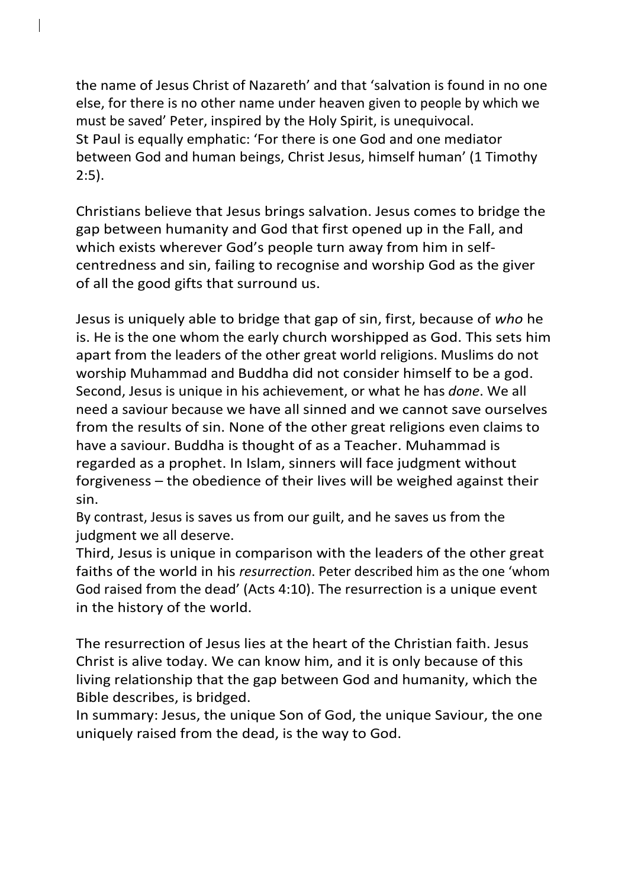the name of Jesus Christ of Nazareth' and that 'salvation is found in no one else, for there is no other name under heaven given to people by which we must be saved' Peter, inspired by the Holy Spirit, is unequivocal. St Paul is equally emphatic: 'For there is one God and one mediator between God and human beings, Christ Jesus, himself human' (1 Timothy 2:5).

Christians believe that Jesus brings salvation. Jesus comes to bridge the gap between humanity and God that first opened up in the Fall, and which exists wherever God's people turn away from him in selfcentredness and sin, failing to recognise and worship God as the giver of all the good gifts that surround us.

Jesus is uniquely able to bridge that gap of sin, first, because of *who* he is. He is the one whom the early church worshipped as God. This sets him apart from the leaders of the other great world religions. Muslims do not worship Muhammad and Buddha did not consider himself to be a god. Second, Jesus is unique in his achievement, or what he has *done*. We all need a saviour because we have all sinned and we cannot save ourselves from the results of sin. None of the other great religions even claims to have a saviour. Buddha is thought of as a Teacher. Muhammad is regarded as a prophet. In Islam, sinners will face judgment without forgiveness – the obedience of their lives will be weighed against their sin.

By contrast, Jesus is saves us from our guilt, and he saves us from the judgment we all deserve.

Third, Jesus is unique in comparison with the leaders of the other great faiths of the world in his *resurrection*. Peter described him as the one 'whom God raised from the dead' (Acts 4:10). The resurrection is a unique event in the history of the world.

The resurrection of Jesus lies at the heart of the Christian faith. Jesus Christ is alive today. We can know him, and it is only because of this living relationship that the gap between God and humanity, which the Bible describes, is bridged.

In summary: Jesus, the unique Son of God, the unique Saviour, the one uniquely raised from the dead, is the way to God.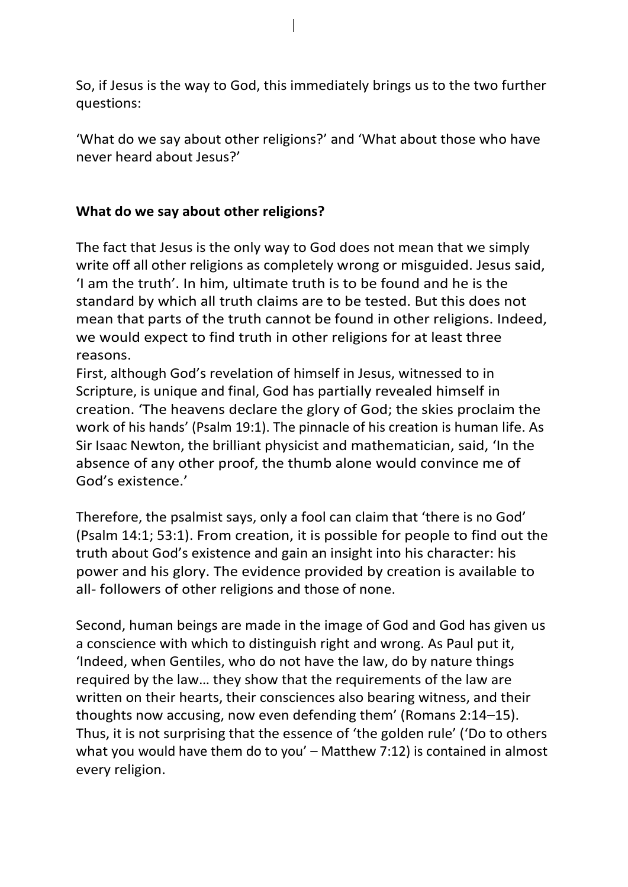So, if Jesus is the way to God, this immediately brings us to the two further questions:

'What do we say about other religions?' and 'What about those who have never heard about Jesus?'

## **What do we say about other religions?**

The fact that Jesus is the only way to God does not mean that we simply write off all other religions as completely wrong or misguided. Jesus said, 'I am the truth'. In him, ultimate truth is to be found and he is the standard by which all truth claims are to be tested. But this does not mean that parts of the truth cannot be found in other religions. Indeed, we would expect to find truth in other religions for at least three reasons.

First, although God's revelation of himself in Jesus, witnessed to in Scripture, is unique and final, God has partially revealed himself in creation. 'The heavens declare the glory of God; the skies proclaim the work of his hands' (Psalm 19:1). The pinnacle of his creation is human life. As Sir Isaac Newton, the brilliant physicist and mathematician, said, 'In the absence of any other proof, the thumb alone would convince me of God's existence.'

Therefore, the psalmist says, only a fool can claim that 'there is no God' (Psalm 14:1; 53:1). From creation, it is possible for people to find out the truth about God's existence and gain an insight into his character: his power and his glory. The evidence provided by creation is available to all- followers of other religions and those of none.

Second, human beings are made in the image of God and God has given us a conscience with which to distinguish right and wrong. As Paul put it, 'Indeed, when Gentiles, who do not have the law, do by nature things required by the law… they show that the requirements of the law are written on their hearts, their consciences also bearing witness, and their thoughts now accusing, now even defending them' (Romans 2:14–15). Thus, it is not surprising that the essence of 'the golden rule' ('Do to others what you would have them do to you' – Matthew 7:12) is contained in almost every religion.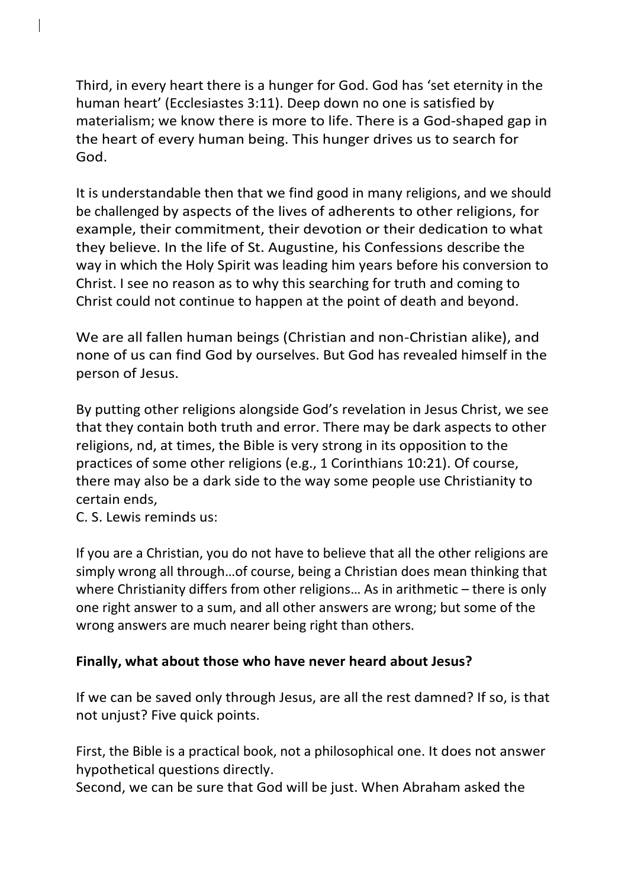Third, in every heart there is a hunger for God. God has 'set eternity in the human heart' (Ecclesiastes 3:11). Deep down no one is satisfied by materialism; we know there is more to life. There is a God-shaped gap in the heart of every human being. This hunger drives us to search for God.

It is understandable then that we find good in many religions, and we should be challenged by aspects of the lives of adherents to other religions, for example, their commitment, their devotion or their dedication to what they believe. In the life of St. Augustine, his Confessions describe the way in which the Holy Spirit was leading him years before his conversion to Christ. I see no reason as to why this searching for truth and coming to Christ could not continue to happen at the point of death and beyond.

We are all fallen human beings (Christian and non-Christian alike), and none of us can find God by ourselves. But God has revealed himself in the person of Jesus.

By putting other religions alongside God's revelation in Jesus Christ, we see that they contain both truth and error. There may be dark aspects to other religions, nd, at times, the Bible is very strong in its opposition to the practices of some other religions (e.g., 1 Corinthians 10:21). Of course, there may also be a dark side to the way some people use Christianity to certain ends,

C. S. Lewis reminds us:

If you are a Christian, you do not have to believe that all the other religions are simply wrong all through…of course, being a Christian does mean thinking that where Christianity differs from other religions... As in arithmetic – there is only one right answer to a sum, and all other answers are wrong; but some of the wrong answers are much nearer being right than others.

## **Finally, what about those who have never heard about Jesus?**

If we can be saved only through Jesus, are all the rest damned? If so, is that not unjust? Five quick points.

First, the Bible is a practical book, not a philosophical one. It does not answer hypothetical questions directly.

Second, we can be sure that God will be just. When Abraham asked the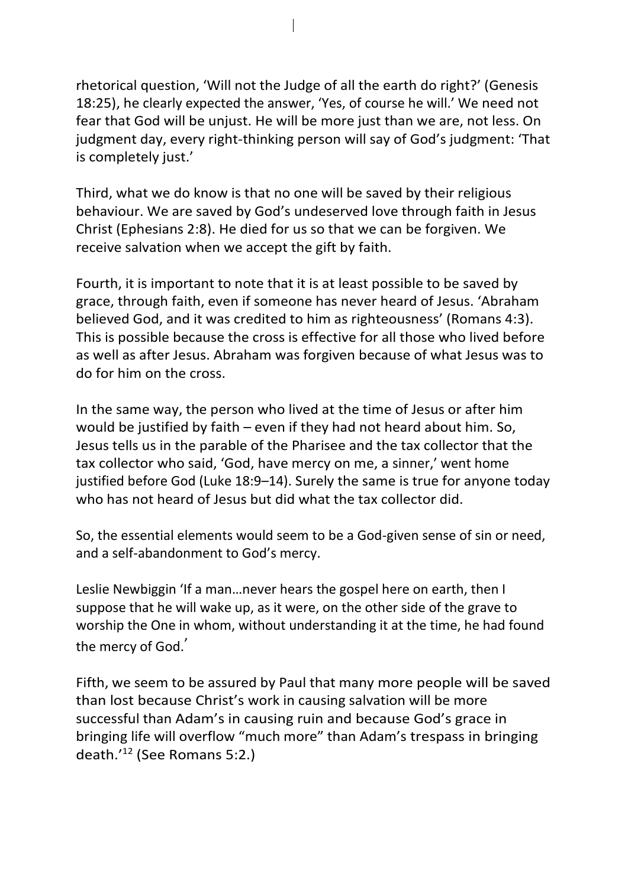rhetorical question, 'Will not the Judge of all the earth do right?' (Genesis 18:25), he clearly expected the answer, 'Yes, of course he will.' We need not fear that God will be unjust. He will be more just than we are, not less. On judgment day, every right-thinking person will say of God's judgment: 'That is completely just.'

Third, what we do know is that no one will be saved by their religious behaviour. We are saved by God's undeserved love through faith in Jesus Christ (Ephesians 2:8). He died for us so that we can be forgiven. We receive salvation when we accept the gift by faith.

Fourth, it is important to note that it is at least possible to be saved by grace, through faith, even if someone has never heard of Jesus. 'Abraham believed God, and it was credited to him as righteousness' (Romans 4:3). This is possible because the cross is effective for all those who lived before as well as after Jesus. Abraham was forgiven because of what Jesus was to do for him on the cross.

In the same way, the person who lived at the time of Jesus or after him would be justified by faith – even if they had not heard about him. So, Jesus tells us in the parable of the Pharisee and the tax collector that the tax collector who said, 'God, have mercy on me, a sinner,' went home justified before God (Luke 18:9–14). Surely the same is true for anyone today who has not heard of Jesus but did what the tax collector did.

So, the essential elements would seem to be a God-given sense of sin or need, and a self-abandonment to God's mercy.

Leslie Newbiggin 'If a man…never hears the gospel here on earth, then I suppose that he will wake up, as it were, on the other side of the grave to worship the One in whom, without understanding it at the time, he had found the mercy of God.'

Fifth, we seem to be assured by Paul that many more people will be saved than lost because Christ's work in causing salvation will be more successful than Adam's in causing ruin and because God's grace in bringing life will overflow "much more" than Adam's trespass in bringing death.'<sup>12</sup> (See Romans 5:2.)